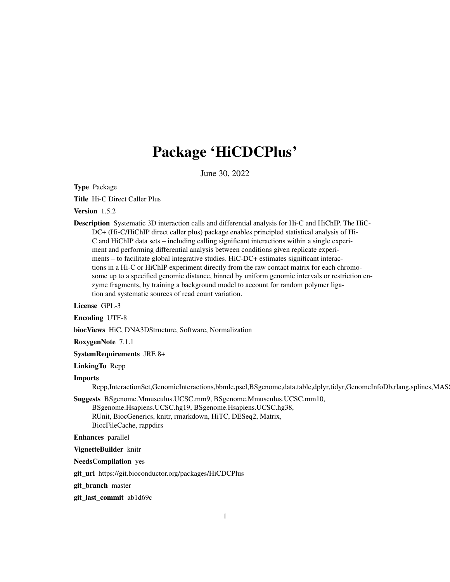# Package 'HiCDCPlus'

June 30, 2022

Type Package

Title Hi-C Direct Caller Plus

Version 1.5.2

Description Systematic 3D interaction calls and differential analysis for Hi-C and HiChIP. The HiC-DC+ (Hi-C/HiChIP direct caller plus) package enables principled statistical analysis of Hi-C and HiChIP data sets – including calling significant interactions within a single experiment and performing differential analysis between conditions given replicate experiments – to facilitate global integrative studies. HiC-DC+ estimates significant interactions in a Hi-C or HiChIP experiment directly from the raw contact matrix for each chromosome up to a specified genomic distance, binned by uniform genomic intervals or restriction enzyme fragments, by training a background model to account for random polymer ligation and systematic sources of read count variation.

License GPL-3

Encoding UTF-8

biocViews HiC, DNA3DStructure, Software, Normalization

RoxygenNote 7.1.1

SystemRequirements JRE 8+

LinkingTo Rcpp

#### Imports

Rcpp,InteractionSet,GenomicInteractions,bbmle,pscl,BSgenome,data.table,dplyr,tidyr,GenomeInfoDb,rlang,splines,MAS

Suggests BSgenome.Mmusculus.UCSC.mm9, BSgenome.Mmusculus.UCSC.mm10, BSgenome.Hsapiens.UCSC.hg19, BSgenome.Hsapiens.UCSC.hg38, RUnit, BiocGenerics, knitr, rmarkdown, HiTC, DESeq2, Matrix, BiocFileCache, rappdirs

Enhances parallel

VignetteBuilder knitr

NeedsCompilation yes

git\_url https://git.bioconductor.org/packages/HiCDCPlus

git\_branch master

git\_last\_commit ab1d69c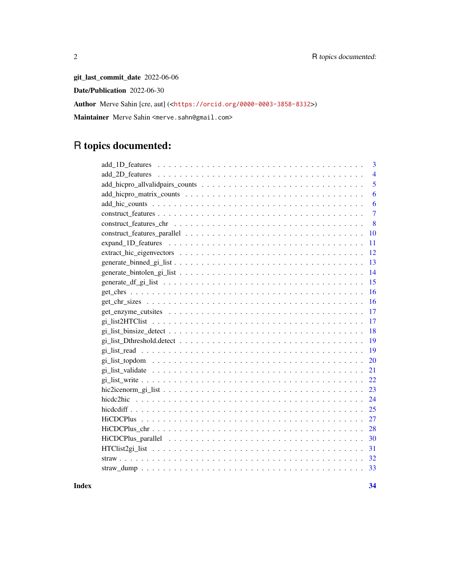git\_last\_commit\_date 2022-06-06 Date/Publication 2022-06-30 Author Merve Sahin [cre, aut] (<<https://orcid.org/0000-0003-3858-8332>>) Maintainer Merve Sahin <merve.sahn@gmail.com>

## R topics documented:

| 3                                                                                                               |
|-----------------------------------------------------------------------------------------------------------------|
| $\overline{4}$                                                                                                  |
| 5                                                                                                               |
| 6                                                                                                               |
| 6                                                                                                               |
| $\overline{7}$                                                                                                  |
| 8                                                                                                               |
| 10                                                                                                              |
| 11                                                                                                              |
| 12                                                                                                              |
| 13                                                                                                              |
| 14                                                                                                              |
| 15                                                                                                              |
| 16                                                                                                              |
| 16                                                                                                              |
| 17                                                                                                              |
| 17                                                                                                              |
| 18<br>$gi\_list\_binsize\_detect \dots \dots \dots \dots \dots \dots \dots \dots \dots \dots \dots \dots \dots$ |
| 19                                                                                                              |
| 19                                                                                                              |
| 20                                                                                                              |
| 21                                                                                                              |
| 22                                                                                                              |
| 23                                                                                                              |
| 24                                                                                                              |
| 25                                                                                                              |
| 27                                                                                                              |
| 28                                                                                                              |
| 30                                                                                                              |
| 31                                                                                                              |
| 32                                                                                                              |
| 33                                                                                                              |
|                                                                                                                 |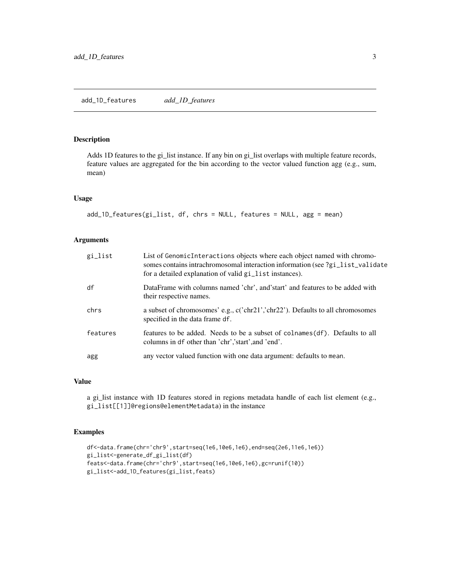#### <span id="page-2-0"></span>add\_1D\_features *add\_1D\_features*

#### Description

Adds 1D features to the gi\_list instance. If any bin on gi\_list overlaps with multiple feature records, feature values are aggregated for the bin according to the vector valued function agg (e.g., sum, mean)

#### Usage

```
add_1D_features(gi_list, df, chrs = NULL, features = NULL, agg = mean)
```
#### Arguments

| gi_list  | List of Genomic Interactions objects where each object named with chromo-<br>somes contains intrachromosomal interaction information (see ?gi_list_validate<br>for a detailed explanation of valid gi_list instances). |
|----------|------------------------------------------------------------------------------------------------------------------------------------------------------------------------------------------------------------------------|
| df       | DataFrame with columns named 'chr', and start' and features to be added with<br>their respective names.                                                                                                                |
| chrs     | a subset of chromosomes' e.g., c('chr21','chr22'). Defaults to all chromosomes<br>specified in the data frame df.                                                                                                      |
| features | features to be added. Needs to be a subset of colnames (df). Defaults to all<br>columns in df other than 'chr', 'start', and 'end'.                                                                                    |
| agg      | any vector valued function with one data argument: defaults to mean.                                                                                                                                                   |

#### Value

a gi\_list instance with 1D features stored in regions metadata handle of each list element (e.g., gi\_list[[1]]@regions@elementMetadata) in the instance

```
df<-data.frame(chr='chr9',start=seq(1e6,10e6,1e6),end=seq(2e6,11e6,1e6))
gi_list<-generate_df_gi_list(df)
feats<-data.frame(chr='chr9',start=seq(1e6,10e6,1e6),gc=runif(10))
gi_list<-add_1D_features(gi_list,feats)
```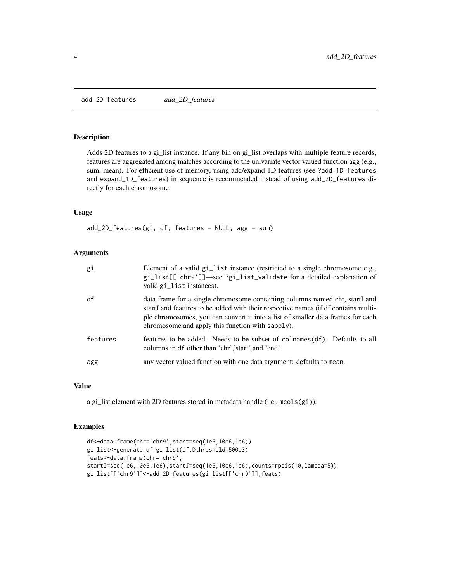<span id="page-3-0"></span>add\_2D\_features *add\_2D\_features*

#### Description

Adds 2D features to a gi\_list instance. If any bin on gi\_list overlaps with multiple feature records, features are aggregated among matches according to the univariate vector valued function agg (e.g., sum, mean). For efficient use of memory, using add/expand 1D features (see ?add\_1D\_features and expand\_1D\_features) in sequence is recommended instead of using add\_2D\_features directly for each chromosome.

#### Usage

add\_2D\_features(gi, df, features = NULL, agg = sum)

#### Arguments

| gi       | Element of a valid gi_list instance (restricted to a single chromosome e.g.,<br>gi_list[['chr9']]—see ?gi_list_validate for a detailed explanation of<br>valid gi_list instances).                                                                                                                        |
|----------|-----------------------------------------------------------------------------------------------------------------------------------------------------------------------------------------------------------------------------------------------------------------------------------------------------------|
| df       | data frame for a single chromosome containing columns named chr, startI and<br>startJ and features to be added with their respective names (if df contains multi-<br>ple chromosomes, you can convert it into a list of smaller data. frames for each<br>chromosome and apply this function with sapply). |
| features | features to be added. Needs to be subset of colnames (df). Defaults to all<br>columns in df other than 'chr', 'start', and 'end'.                                                                                                                                                                         |
| agg      | any vector valued function with one data argument: defaults to mean.                                                                                                                                                                                                                                      |

#### Value

a gi\_list element with 2D features stored in metadata handle (i.e., mcols(gi)).

```
df<-data.frame(chr='chr9',start=seq(1e6,10e6,1e6))
gi_list<-generate_df_gi_list(df,Dthreshold=500e3)
feats<-data.frame(chr='chr9',
startI=seq(1e6,10e6,1e6),startJ=seq(1e6,10e6,1e6),counts=rpois(10,lambda=5))
gi_list[['chr9']]<-add_2D_features(gi_list[['chr9']],feats)
```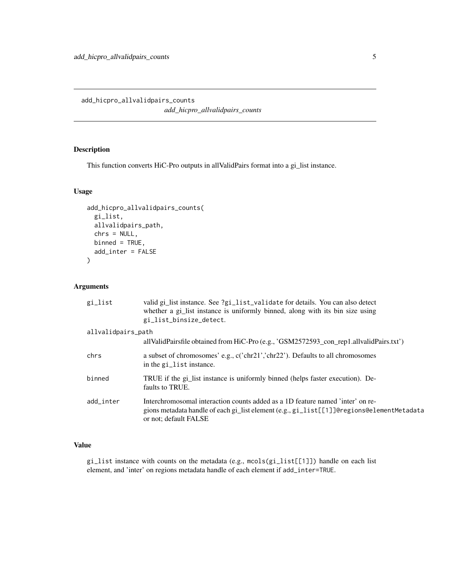#### <span id="page-4-0"></span>Description

This function converts HiC-Pro outputs in allValidPairs format into a gi\_list instance.

#### Usage

```
add_hicpro_allvalidpairs_counts(
  gi_list,
  allvalidpairs_path,
  chrs = NULL,
 binned = TRUE,add_inter = FALSE
)
```
#### Arguments

| gi_list            | valid gi_list instance. See ?gi_list_validate for details. You can also detect<br>whether a gi_list instance is uniformly binned, along with its bin size using<br>gi_list_binsize_detect.           |
|--------------------|------------------------------------------------------------------------------------------------------------------------------------------------------------------------------------------------------|
| allvalidpairs_path | allValidPairsfile obtained from HiC-Pro (e.g., 'GSM2572593_con_rep1.allvalidPairs.txt')                                                                                                              |
| chrs               | a subset of chromosomes' e.g., c('chr21','chr22'). Defaults to all chromosomes<br>in the gi_list instance.                                                                                           |
| binned             | TRUE if the gi_list instance is uniformly binned (helps faster execution). De-<br>faults to TRUE.                                                                                                    |
| add inter          | Interchromosomal interaction counts added as a 1D feature named 'inter' on re-<br>gions metadata handle of each gi_list element (e.g., gi_list[[1]]@regions@elementMetadata<br>or not; default FALSE |

#### Value

gi\_list instance with counts on the metadata (e.g., mcols(gi\_list[[1]]) handle on each list element, and 'inter' on regions metadata handle of each element if add\_inter=TRUE.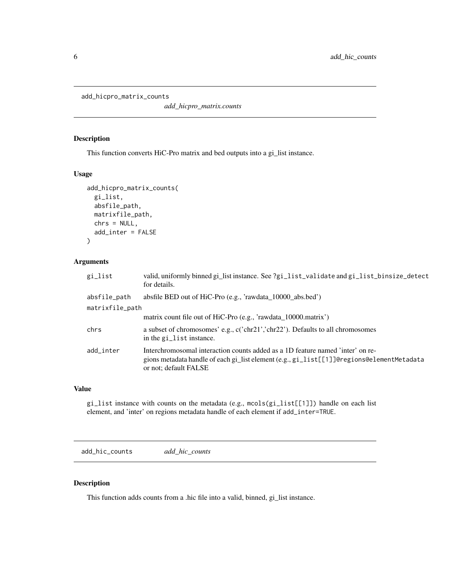```
add_hicpro_matrix_counts
```
*add\_hicpro\_matrix.counts*

#### Description

This function converts HiC-Pro matrix and bed outputs into a gi\_list instance.

#### Usage

```
add_hicpro_matrix_counts(
  gi_list,
  absfile_path,
 matrixfile_path,
  chrs = NULL,
  add_inter = FALSE
)
```
#### Arguments

| gi_list         | valid, uniformly binned gi_list instance. See ?gi_list_validate and gi_list_binsize_detect<br>for details.                                                                                           |
|-----------------|------------------------------------------------------------------------------------------------------------------------------------------------------------------------------------------------------|
| absfile_path    | absfile BED out of HiC-Pro (e.g., 'rawdata_10000_abs.bed')                                                                                                                                           |
| matrixfile_path |                                                                                                                                                                                                      |
|                 | matrix count file out of HiC-Pro (e.g., 'rawdata_10000.matrix')                                                                                                                                      |
| chrs            | a subset of chromosomes' e.g., c('chr21','chr22'). Defaults to all chromosomes<br>in the gi_list instance.                                                                                           |
| add_inter       | Interchromosomal interaction counts added as a 1D feature named 'inter' on re-<br>gions metadata handle of each gi_list element (e.g., gi_list[[1]]@regions@elementMetadata<br>or not; default FALSE |

#### Value

gi\_list instance with counts on the metadata (e.g., mcols(gi\_list[[1]]) handle on each list element, and 'inter' on regions metadata handle of each element if add\_inter=TRUE.

add\_hic\_counts *add\_hic\_counts*

#### Description

This function adds counts from a .hic file into a valid, binned, gi\_list instance.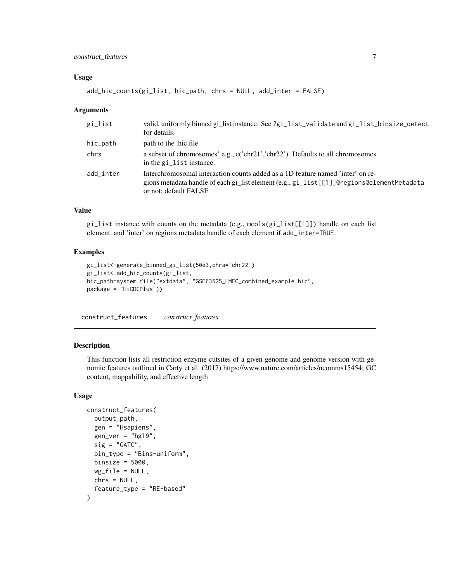#### <span id="page-6-0"></span>Usage

add\_hic\_counts(gi\_list, hic\_path, chrs = NULL, add\_inter = FALSE)

#### **Arguments**

| gi_list   | valid, uniformly binned gi_list instance. See ?gi_list_validate and gi_list_binsize_detect<br>for details.                                                                                           |
|-----------|------------------------------------------------------------------------------------------------------------------------------------------------------------------------------------------------------|
| hic_path  | path to the hic file                                                                                                                                                                                 |
| chrs      | a subset of chromosomes' e.g., c('chr21','chr22'). Defaults to all chromosomes<br>in the gi_list instance.                                                                                           |
| add inter | Interchromosomal interaction counts added as a 1D feature named 'inter' on re-<br>gions metadata handle of each gi_list element (e.g., gi_list[[1]]@regions@elementMetadata<br>or not; default FALSE |

#### Value

gi\_list instance with counts on the metadata (e.g., mcols(gi\_list[[1]]) handle on each list element, and 'inter' on regions metadata handle of each element if add\_inter=TRUE.

#### Examples

```
gi_list<-generate_binned_gi_list(50e3,chrs='chr22')
gi_list<-add_hic_counts(gi_list,
hic_path=system.file("extdata", "GSE63525_HMEC_combined_example.hic",
package = "HiCDCPlus"))
```
construct\_features *construct\_features*

#### Description

This function lists all restriction enzyme cutsites of a given genome and genome version with genomic features outlined in Carty et al. (2017) https://www.nature.com/articles/ncomms15454; GC content, mappability, and effective length

#### Usage

```
construct_features(
  output_path,
  gen = "Hsapiens",
  gen\_ver = "hg19",sig = "GATC",bin_type = "Bins-uniform",
 binsize = 5000,
  wg_file = NULL,
  chrs = NULL,
  feature_type = "RE-based"
)
```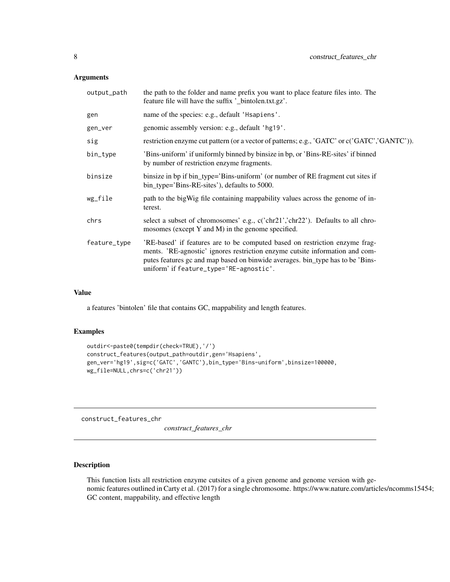#### <span id="page-7-0"></span>Arguments

| name of the species: e.g., default 'Hsapiens'.<br>gen<br>genomic assembly version: e.g., default 'hg19'.<br>gen_ver<br>sig<br>'Bins-uniform' if uniformly binned by binsize in bp, or 'Bins-RE-sites' if binned<br>bin_type<br>by number of restriction enzyme fragments.<br>binsize<br>binsize in bp if bin_type='Bins-uniform' (or number of RE fragment cut sites if<br>bin_type='Bins-RE-sites'), defaults to 5000.<br>path to the bigWig file containing mappability values across the genome of in-<br>wg_file<br>terest.<br>select a subset of chromosomes' e.g., c('chr21','chr22'). Defaults to all chro-<br>chrs<br>mosomes (except Y and M) in the genome specified.<br>'RE-based' if features are to be computed based on restriction enzyme frag-<br>feature_type<br>ments. 'RE-agnostic' ignores restriction enzyme cutsite information and com-<br>putes features gc and map based on binwide averages. bin_type has to be 'Bins-<br>uniform' if feature_type='RE-agnostic'. | output_path | the path to the folder and name prefix you want to place feature files into. The<br>feature file will have the suffix '_bintolen.txt.gz'. |
|---------------------------------------------------------------------------------------------------------------------------------------------------------------------------------------------------------------------------------------------------------------------------------------------------------------------------------------------------------------------------------------------------------------------------------------------------------------------------------------------------------------------------------------------------------------------------------------------------------------------------------------------------------------------------------------------------------------------------------------------------------------------------------------------------------------------------------------------------------------------------------------------------------------------------------------------------------------------------------------------|-------------|-------------------------------------------------------------------------------------------------------------------------------------------|
|                                                                                                                                                                                                                                                                                                                                                                                                                                                                                                                                                                                                                                                                                                                                                                                                                                                                                                                                                                                             |             |                                                                                                                                           |
|                                                                                                                                                                                                                                                                                                                                                                                                                                                                                                                                                                                                                                                                                                                                                                                                                                                                                                                                                                                             |             |                                                                                                                                           |
|                                                                                                                                                                                                                                                                                                                                                                                                                                                                                                                                                                                                                                                                                                                                                                                                                                                                                                                                                                                             |             | restriction enzyme cut pattern (or a vector of patterns; e.g., 'GATC' or c('GATC','GANTC')).                                              |
|                                                                                                                                                                                                                                                                                                                                                                                                                                                                                                                                                                                                                                                                                                                                                                                                                                                                                                                                                                                             |             |                                                                                                                                           |
|                                                                                                                                                                                                                                                                                                                                                                                                                                                                                                                                                                                                                                                                                                                                                                                                                                                                                                                                                                                             |             |                                                                                                                                           |
|                                                                                                                                                                                                                                                                                                                                                                                                                                                                                                                                                                                                                                                                                                                                                                                                                                                                                                                                                                                             |             |                                                                                                                                           |
|                                                                                                                                                                                                                                                                                                                                                                                                                                                                                                                                                                                                                                                                                                                                                                                                                                                                                                                                                                                             |             |                                                                                                                                           |
|                                                                                                                                                                                                                                                                                                                                                                                                                                                                                                                                                                                                                                                                                                                                                                                                                                                                                                                                                                                             |             |                                                                                                                                           |

#### Value

a features 'bintolen' file that contains GC, mappability and length features.

#### Examples

```
outdir<-paste0(tempdir(check=TRUE),'/')
construct_features(output_path=outdir,gen='Hsapiens',
gen_ver='hg19',sig=c('GATC','GANTC'),bin_type='Bins-uniform',binsize=100000,
wg_file=NULL,chrs=c('chr21'))
```
construct\_features\_chr

*construct\_features\_chr*

#### Description

This function lists all restriction enzyme cutsites of a given genome and genome version with genomic features outlined in Carty et al. (2017) for a single chromosome. https://www.nature.com/articles/ncomms15454; GC content, mappability, and effective length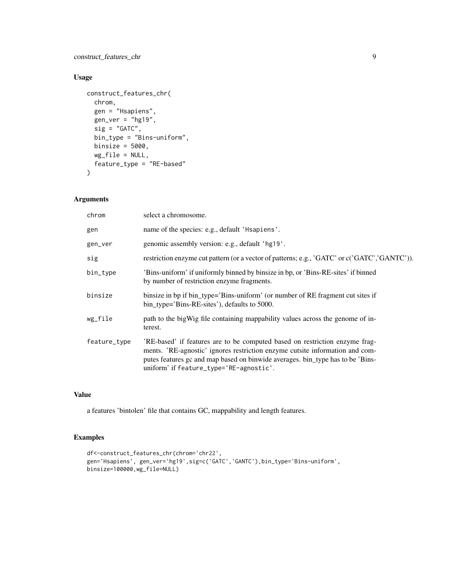#### construct\_features\_chr 9

#### Usage

```
construct_features_chr(
  chrom,
  gen = "Hsapiens",
  gen\_ver = "hg19",sig = "GATC",bin_type = "Bins-uniform",
  binsize = 5000,
  wg_file = NULL,
  feature_type = "RE-based"
\mathcal{L}
```
#### Arguments

| select a chromosome.                                                                                                                                                                                                                                                                     |
|------------------------------------------------------------------------------------------------------------------------------------------------------------------------------------------------------------------------------------------------------------------------------------------|
| name of the species: e.g., default 'Hsapiens'.                                                                                                                                                                                                                                           |
| genomic assembly version: e.g., default 'hg19'.                                                                                                                                                                                                                                          |
| restriction enzyme cut pattern (or a vector of patterns; e.g., 'GATC' or c('GATC','GANTC')).                                                                                                                                                                                             |
| 'Bins-uniform' if uniformly binned by binsize in bp, or 'Bins-RE-sites' if binned<br>by number of restriction enzyme fragments.                                                                                                                                                          |
| binsize in bp if bin_type='Bins-uniform' (or number of RE fragment cut sites if<br>bin_type='Bins-RE-sites'), defaults to 5000.                                                                                                                                                          |
| path to the bigWig file containing mappability values across the genome of in-<br>terest.                                                                                                                                                                                                |
| 'RE-based' if features are to be computed based on restriction enzyme frag-<br>ments. 'RE-agnostic' ignores restriction enzyme cutsite information and com-<br>putes features gc and map based on binwide averages. bin_type has to be 'Bins-<br>uniform' if feature_type='RE-agnostic'. |
|                                                                                                                                                                                                                                                                                          |

#### Value

a features 'bintolen' file that contains GC, mappability and length features.

```
df<-construct_features_chr(chrom='chr22',
gen='Hsapiens', gen_ver='hg19',sig=c('GATC','GANTC'),bin_type='Bins-uniform',
binsize=100000,wg_file=NULL)
```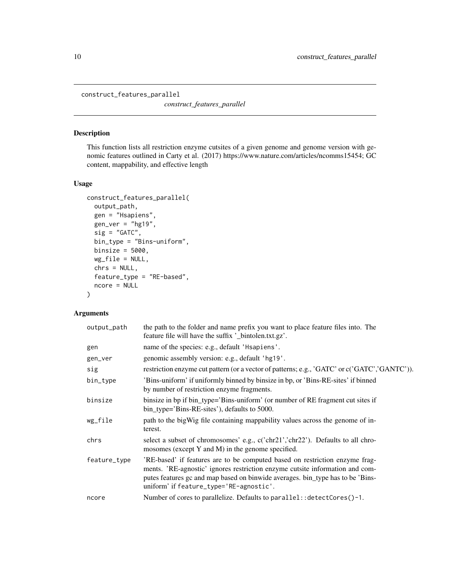<span id="page-9-0"></span>construct\_features\_parallel

*construct\_features\_parallel*

#### Description

This function lists all restriction enzyme cutsites of a given genome and genome version with genomic features outlined in Carty et al. (2017) https://www.nature.com/articles/ncomms15454; GC content, mappability, and effective length

#### Usage

```
construct_features_parallel(
  output_path,
  gen = "Hsapiens",
  gen\_ver = "hg19",sig = "GATC",bin_type = "Bins-uniform",
 binsize = 5000,
 wg_file = NULL,
  chrs = NULL,
  feature_type = "RE-based",
  ncore = NULL
)
```

| output_path  | the path to the folder and name prefix you want to place feature files into. The<br>feature file will have the suffix '_bintolen.txt.gz'.                                                                                                                                                |
|--------------|------------------------------------------------------------------------------------------------------------------------------------------------------------------------------------------------------------------------------------------------------------------------------------------|
| gen          | name of the species: e.g., default 'Hsapiens'.                                                                                                                                                                                                                                           |
| gen_ver      | genomic assembly version: e.g., default 'hg19'.                                                                                                                                                                                                                                          |
| sig          | restriction enzyme cut pattern (or a vector of patterns; e.g., 'GATC' or c('GATC', 'GANTC')).                                                                                                                                                                                            |
| bin_type     | 'Bins-uniform' if uniformly binned by binsize in bp, or 'Bins-RE-sites' if binned<br>by number of restriction enzyme fragments.                                                                                                                                                          |
| binsize      | binsize in bp if bin_type='Bins-uniform' (or number of RE fragment cut sites if<br>bin_type='Bins-RE-sites'), defaults to 5000.                                                                                                                                                          |
| wg_file      | path to the bigWig file containing mappability values across the genome of in-<br>terest.                                                                                                                                                                                                |
| chrs         | select a subset of chromosomes' e.g., c('chr21','chr22'). Defaults to all chro-<br>mosomes (except Y and M) in the genome specified.                                                                                                                                                     |
| feature_type | 'RE-based' if features are to be computed based on restriction enzyme frag-<br>ments. 'RE-agnostic' ignores restriction enzyme cutsite information and com-<br>putes features gc and map based on binwide averages. bin_type has to be 'Bins-<br>uniform' if feature_type='RE-agnostic'. |
| ncore        | Number of cores to parallelize. Defaults to parallel:: detectCores()-1.                                                                                                                                                                                                                  |
|              |                                                                                                                                                                                                                                                                                          |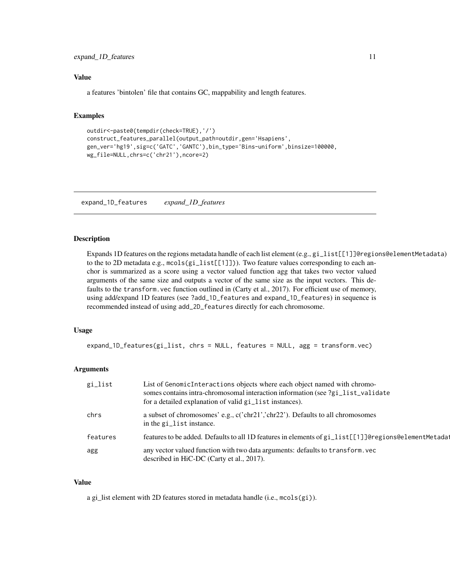#### <span id="page-10-0"></span>expand\_1D\_features 11

#### Value

a features 'bintolen' file that contains GC, mappability and length features.

#### Examples

```
outdir<-paste0(tempdir(check=TRUE),'/')
construct_features_parallel(output_path=outdir,gen='Hsapiens',
gen_ver='hg19',sig=c('GATC','GANTC'),bin_type='Bins-uniform',binsize=100000,
wg_file=NULL,chrs=c('chr21'),ncore=2)
```
expand\_1D\_features *expand\_1D\_features*

#### Description

Expands 1D features on the regions metadata handle of each list element (e.g., gi\_list[[1]]@regions@elementMetadata) to the to 2D metadata e.g., mcols(gi\_list[[1]])). Two feature values corresponding to each anchor is summarized as a score using a vector valued function agg that takes two vector valued arguments of the same size and outputs a vector of the same size as the input vectors. This defaults to the transform. vec function outlined in (Carty et al., 2017). For efficient use of memory, using add/expand 1D features (see ?add\_1D\_features and expand\_1D\_features) in sequence is recommended instead of using add\_2D\_features directly for each chromosome.

#### Usage

```
expand_1D_features(gi_list, chrs = NULL, features = NULL, agg = transform.vec)
```
#### Arguments

| gi_list  | List of GenomicInteractions objects where each object named with chromo-<br>somes contains intra-chromosomal interaction information (see ?gi_list_validate<br>for a detailed explanation of valid gi_list instances). |
|----------|------------------------------------------------------------------------------------------------------------------------------------------------------------------------------------------------------------------------|
| chrs     | a subset of chromosomes' e.g., c('chr21','chr22'). Defaults to all chromosomes<br>in the gi_list instance.                                                                                                             |
| features | features to be added. Defaults to all 1D features in elements of gi_list[[1]]@regions@elementMetada1                                                                                                                   |
| agg      | any vector valued function with two data arguments: defaults to transform. vec<br>described in HiC-DC (Carty et al., 2017).                                                                                            |

#### Value

a gi\_list element with 2D features stored in metadata handle (i.e., mcols(gi)).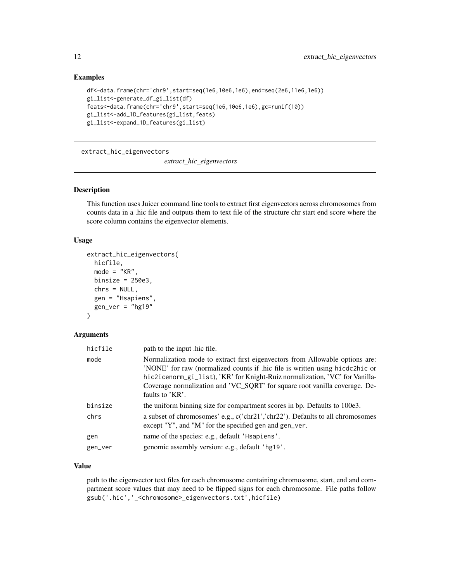#### <span id="page-11-0"></span>Examples

```
df<-data.frame(chr='chr9',start=seq(1e6,10e6,1e6),end=seq(2e6,11e6,1e6))
gi_list<-generate_df_gi_list(df)
feats<-data.frame(chr='chr9',start=seq(1e6,10e6,1e6),gc=runif(10))
gi_list<-add_1D_features(gi_list,feats)
gi_list<-expand_1D_features(gi_list)
```
extract\_hic\_eigenvectors

*extract\_hic\_eigenvectors*

#### Description

This function uses Juicer command line tools to extract first eigenvectors across chromosomes from counts data in a .hic file and outputs them to text file of the structure chr start end score where the score column contains the eigenvector elements.

#### Usage

```
extract_hic_eigenvectors(
  hicfile,
  mode = "KR",
 binsize = 250e3,
  chrs = NULL,
  gen = "Hsapiens",
  gen\_ver = "hg19"
```
### )

#### Arguments

| hicfile | path to the input .hic file.                                                                                                                                                                                                                                                                                                                 |
|---------|----------------------------------------------------------------------------------------------------------------------------------------------------------------------------------------------------------------------------------------------------------------------------------------------------------------------------------------------|
| mode    | Normalization mode to extract first eigenvectors from Allowable options are:<br>'NONE' for raw (normalized counts if .hic file is written using hicdc2hic or<br>hic2icenorm_gi_list), 'KR' for Knight-Ruiz normalization, 'VC' for Vanilla-<br>Coverage normalization and 'VC_SQRT' for square root vanilla coverage. De-<br>faults to 'KR'. |
| binsize | the uniform binning size for compartment scores in bp. Defaults to 100e3.                                                                                                                                                                                                                                                                    |
| chrs    | a subset of chromosomes' e.g., c('chr21','chr22'). Defaults to all chromosomes<br>except "Y", and "M" for the specified gen and gen_ver.                                                                                                                                                                                                     |
| gen     | name of the species: e.g., default 'Hsapiens'.                                                                                                                                                                                                                                                                                               |
| gen_ver | genomic assembly version: e.g., default 'hg19'.                                                                                                                                                                                                                                                                                              |

#### Value

path to the eigenvector text files for each chromosome containing chromosome, start, end and compartment score values that may need to be flipped signs for each chromosome. File paths follow gsub('.hic','\_<chromosome>\_eigenvectors.txt',hicfile)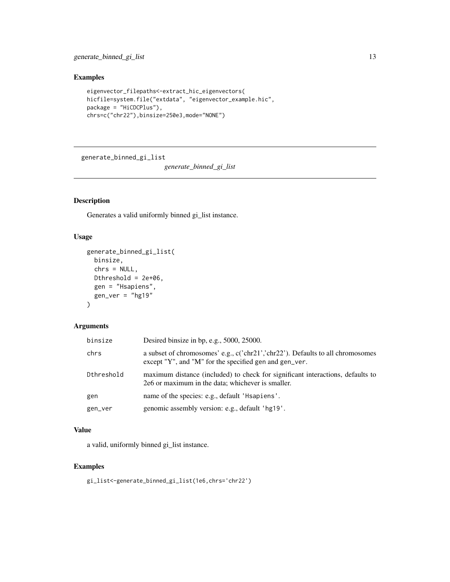<span id="page-12-0"></span>generate\_binned\_gi\_list 13

#### Examples

```
eigenvector_filepaths<-extract_hic_eigenvectors(
hicfile=system.file("extdata", "eigenvector_example.hic",
package = "HiCDCPlus"),
chrs=c("chr22"),binsize=250e3,mode="NONE")
```
generate\_binned\_gi\_list

*generate\_binned\_gi\_list*

#### Description

Generates a valid uniformly binned gi\_list instance.

#### Usage

```
generate_binned_gi_list(
 binsize,
  chrs = NULL,
 Dthreshold = 2e+06,
  gen = "Hsapiens",
 gen\_ver = "hg19"\lambda
```
#### Arguments

| binsize    | Desired binsize in bp, e.g., 5000, 25000.                                                                                                |
|------------|------------------------------------------------------------------------------------------------------------------------------------------|
| chrs       | a subset of chromosomes' e.g., c('chr21','chr22'). Defaults to all chromosomes<br>except "Y", and "M" for the specified gen and gen_ver. |
| Dthreshold | maximum distance (included) to check for significant interactions, defaults to<br>2e6 or maximum in the data; whichever is smaller.      |
| gen        | name of the species: e.g., default 'Hsapiens'.                                                                                           |
| gen_ver    | genomic assembly version: e.g., default 'hg19'.                                                                                          |

#### Value

a valid, uniformly binned gi\_list instance.

```
gi_list<-generate_binned_gi_list(1e6,chrs='chr22')
```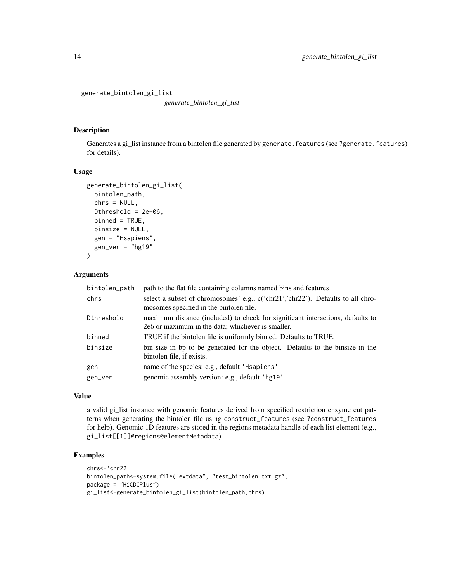```
generate_bintolen_gi_list
```
*generate\_bintolen\_gi\_list*

#### Description

Generates a gi\_list instance from a bintolen file generated by generate. features (see ?generate. features) for details).

#### Usage

```
generate_bintolen_gi_list(
 bintolen_path,
  chrs = NULL,
 Dthreshold = 2e+06,
 binned = TRUE,
 binsize = NULL,
  gen = "Hsapiens",
 gen\_ver = "hg19")
```
#### Arguments

| bintolen_path | path to the flat file containing columns named bins and features                                                                    |
|---------------|-------------------------------------------------------------------------------------------------------------------------------------|
| chrs          | select a subset of chromosomes' e.g., c('chr21','chr22'). Defaults to all chro-<br>mosomes specified in the bintolen file.          |
| Dthreshold    | maximum distance (included) to check for significant interactions, defaults to<br>2e6 or maximum in the data; whichever is smaller. |
| binned        | TRUE if the bintolen file is uniformly binned. Defaults to TRUE.                                                                    |
| binsize       | bin size in bp to be generated for the object. Defaults to the binsize in the<br>bintolen file, if exists.                          |
| gen           | name of the species: e.g., default 'Hsapiens'                                                                                       |
| gen_ver       | genomic assembly version: e.g., default 'hg19'                                                                                      |

#### Value

a valid gi\_list instance with genomic features derived from specified restriction enzyme cut patterns when generating the bintolen file using construct\_features (see ?construct\_features for help). Genomic 1D features are stored in the regions metadata handle of each list element (e.g., gi\_list[[1]]@regions@elementMetadata).

```
chrs<-'chr22'
bintolen_path<-system.file("extdata", "test_bintolen.txt.gz",
package = "HiCDCPlus")
gi_list<-generate_bintolen_gi_list(bintolen_path,chrs)
```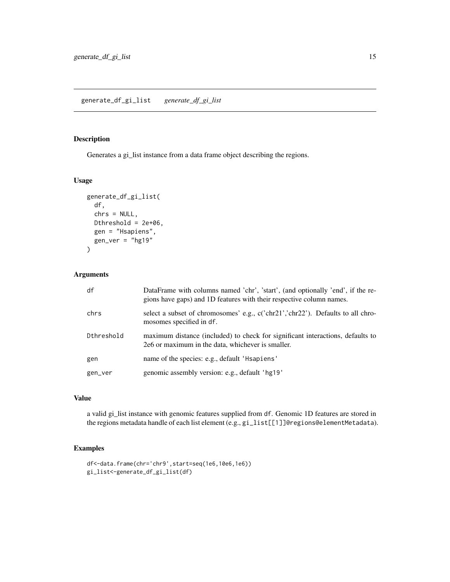#### <span id="page-14-0"></span>generate\_df\_gi\_list *generate\_df\_gi\_list*

#### Description

Generates a gi\_list instance from a data frame object describing the regions.

#### Usage

```
generate_df_gi_list(
  df,
  chrs = NULL,
 Dthreshold = 2e+06,
 gen = "Hsapiens",
 gen_ver = "hg19"
)
```
#### Arguments

| df         | DataFrame with columns named 'chr', 'start', (and optionally 'end', if the re-<br>gions have gaps) and 1D features with their respective column names. |
|------------|--------------------------------------------------------------------------------------------------------------------------------------------------------|
| chrs       | select a subset of chromosomes' e.g., c('chr21','chr22'). Defaults to all chro-<br>mosomes specified in df.                                            |
| Dthreshold | maximum distance (included) to check for significant interactions, defaults to<br>2e6 or maximum in the data, whichever is smaller.                    |
| gen        | name of the species: e.g., default 'Hsapiens'                                                                                                          |
| gen_ver    | genomic assembly version: e.g., default 'hg19'                                                                                                         |

#### Value

a valid gi\_list instance with genomic features supplied from df. Genomic 1D features are stored in the regions metadata handle of each list element (e.g., gi\_list[[1]]@regions@elementMetadata).

```
df<-data.frame(chr='chr9',start=seq(1e6,10e6,1e6))
gi_list<-generate_df_gi_list(df)
```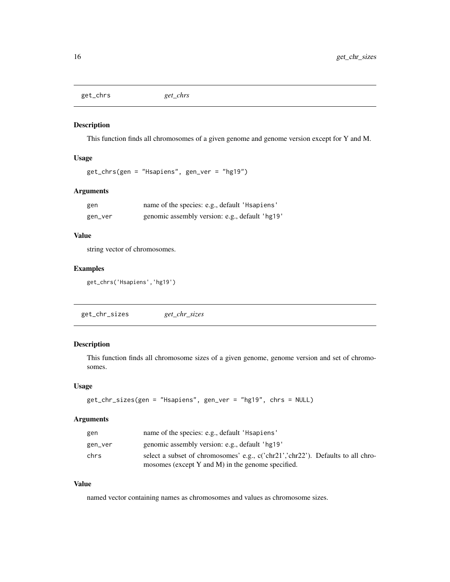<span id="page-15-0"></span>get\_chrs *get\_chrs*

#### Description

This function finds all chromosomes of a given genome and genome version except for Y and M.

#### Usage

get\_chrs(gen = "Hsapiens", gen\_ver = "hg19")

#### Arguments

| gen     | name of the species: e.g., default 'Hsapiens'  |
|---------|------------------------------------------------|
| gen_ver | genomic assembly version: e.g., default 'hg19' |

#### Value

string vector of chromosomes.

#### Examples

get\_chrs('Hsapiens','hg19')

| get_chr_sizes |
|---------------|
|---------------|

#### Description

This function finds all chromosome sizes of a given genome, genome version and set of chromosomes.

#### Usage

```
get_chr_sizes(gen = "Hsapiens", gen_ver = "hg19", chrs = NULL)
```
#### Arguments

| gen     | name of the species: e.g., default 'Hsapiens'                                   |
|---------|---------------------------------------------------------------------------------|
| gen_ver | genomic assembly version: e.g., default 'hg19'                                  |
| chrs    | select a subset of chromosomes' e.g., c('chr21','chr22'). Defaults to all chro- |
|         | mosomes (except Y and M) in the genome specified.                               |

#### Value

named vector containing names as chromosomes and values as chromosome sizes.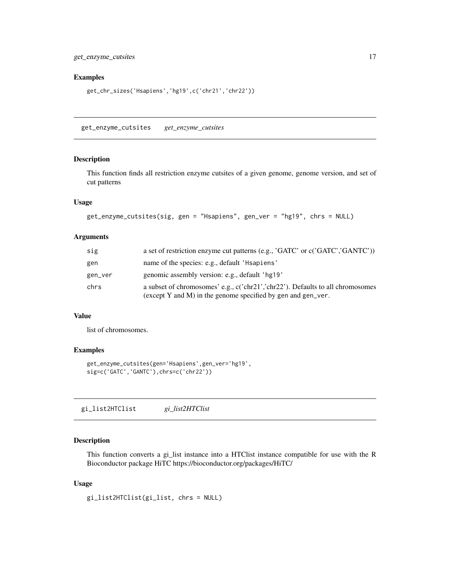#### <span id="page-16-0"></span>Examples

```
get_chr_sizes('Hsapiens','hg19',c('chr21','chr22'))
```
get\_enzyme\_cutsites *get\_enzyme\_cutsites*

#### Description

This function finds all restriction enzyme cutsites of a given genome, genome version, and set of cut patterns

#### Usage

```
get_enzyme_cutsites(sig, gen = "Hsapiens", gen_ver = "hg19", chrs = NULL)
```
#### Arguments

| sig     | a set of restriction enzyme cut patterns (e.g., 'GATC' or c('GATC', 'GANTC'))                                                                  |
|---------|------------------------------------------------------------------------------------------------------------------------------------------------|
| gen     | name of the species: e.g., default 'Hsapiens'                                                                                                  |
| gen_ver | genomic assembly version: e.g., default 'hg19'                                                                                                 |
| chrs    | a subset of chromosomes' e.g., c('chr21','chr22'). Defaults to all chromosomes<br>(except Y and M) in the genome specified by gen and gen_ver. |

#### Value

list of chromosomes.

#### Examples

```
get_enzyme_cutsites(gen='Hsapiens',gen_ver='hg19',
sig=c('GATC','GANTC'),chrs=c('chr22'))
```
gi\_list2HTClist *gi\_list2HTClist*

#### Description

This function converts a gi\_list instance into a HTClist instance compatible for use with the R Bioconductor package HiTC https://bioconductor.org/packages/HiTC/

#### Usage

gi\_list2HTClist(gi\_list, chrs = NULL)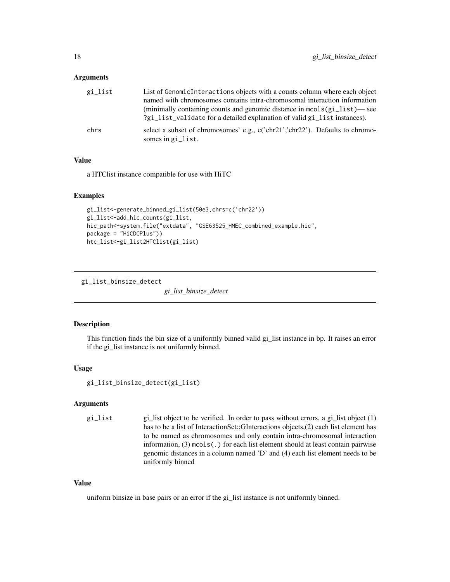#### <span id="page-17-0"></span>**Arguments**

| gi_list | List of Genomic Interactions objects with a counts column where each object<br>named with chromosomes contains intra-chromosomal interaction information<br>(minimally containing counts and genomic distance in mcols(gi_list)—see<br>?gi_list_validate for a detailed explanation of valid gi_list instances). |
|---------|------------------------------------------------------------------------------------------------------------------------------------------------------------------------------------------------------------------------------------------------------------------------------------------------------------------|
| chrs    | select a subset of chromosomes' e.g., $c('chr21$ ''chr22'). Defaults to chromo-<br>somes in gi_list.                                                                                                                                                                                                             |

#### Value

a HTClist instance compatible for use with HiTC

#### Examples

```
gi_list<-generate_binned_gi_list(50e3,chrs=c('chr22'))
gi_list<-add_hic_counts(gi_list,
hic_path<-system.file("extdata", "GSE63525_HMEC_combined_example.hic",
package = "HiCDCPlus"))
htc_list<-gi_list2HTClist(gi_list)
```
gi\_list\_binsize\_detect

*gi\_list\_binsize\_detect*

#### Description

This function finds the bin size of a uniformly binned valid gi\_list instance in bp. It raises an error if the gi\_list instance is not uniformly binned.

#### Usage

gi\_list\_binsize\_detect(gi\_list)

#### Arguments

gi\_list gi\_list object to be verified. In order to pass without errors, a gi\_list object (1) has to be a list of InteractionSet::GInteractions objects,(2) each list element has to be named as chromosomes and only contain intra-chromosomal interaction information, (3) mcols(.) for each list element should at least contain pairwise genomic distances in a column named 'D' and (4) each list element needs to be uniformly binned

#### Value

uniform binsize in base pairs or an error if the gi\_list instance is not uniformly binned.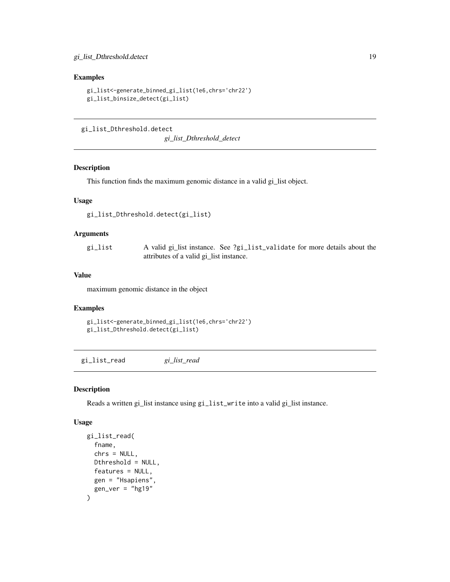#### <span id="page-18-0"></span>Examples

```
gi_list<-generate_binned_gi_list(1e6,chrs='chr22')
gi_list_binsize_detect(gi_list)
```
gi\_list\_Dthreshold.detect

*gi\_list\_Dthreshold\_detect*

#### Description

This function finds the maximum genomic distance in a valid gi\_list object.

#### Usage

gi\_list\_Dthreshold.detect(gi\_list)

#### Arguments

| gi_list | A valid gi_list instance. See ?gi_list_validate for more details about the |
|---------|----------------------------------------------------------------------------|
|         | attributes of a valid gi_list instance.                                    |

#### Value

maximum genomic distance in the object

#### Examples

```
gi_list<-generate_binned_gi_list(1e6,chrs='chr22')
gi_list_Dthreshold.detect(gi_list)
```
gi\_list\_read *gi\_list\_read*

#### Description

Reads a written gi\_list instance using gi\_list\_write into a valid gi\_list instance.

#### Usage

```
gi_list_read(
  fname,
  chrs = NULL,
  Dthreshold = NULL,
  features = NULL,
  gen = "Hsapiens",
  gen\_ver = "hg19"\mathcal{E}
```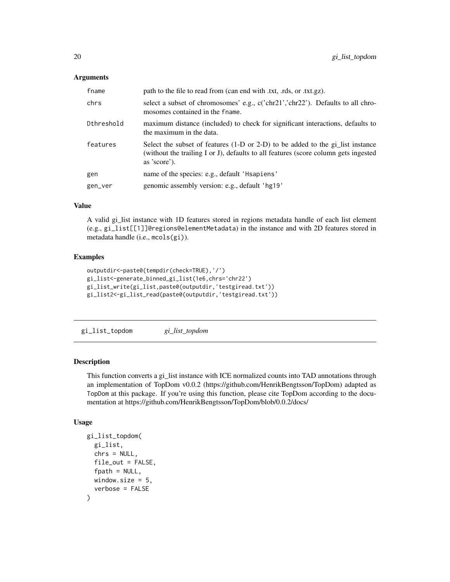#### <span id="page-19-0"></span>**Arguments**

| fname      | path to the file to read from (can end with .txt, .rds, or .txt.gz).                                                                                                                     |
|------------|------------------------------------------------------------------------------------------------------------------------------------------------------------------------------------------|
| chrs       | select a subset of chromosomes' e.g., c('chr21','chr22'). Defaults to all chro-<br>mosomes contained in the fname.                                                                       |
| Dthreshold | maximum distance (included) to check for significant interactions, defaults to<br>the maximum in the data.                                                                               |
| features   | Select the subset of features $(1-D)$ or 2-D) to be added to the gi_list instance<br>(without the trailing I or J), defaults to all features (score column gets ingested<br>as 'score'). |
| gen        | name of the species: e.g., default 'Hsapiens'                                                                                                                                            |
| gen_ver    | genomic assembly version: e.g., default 'hg19'                                                                                                                                           |

#### Value

A valid gi\_list instance with 1D features stored in regions metadata handle of each list element (e.g., gi\_list[[1]]@regions@elementMetadata) in the instance and with 2D features stored in metadata handle (i.e., mcols(gi)).

#### Examples

```
outputdir<-paste0(tempdir(check=TRUE),'/')
gi_list<-generate_binned_gi_list(1e6,chrs='chr22')
gi_list_write(gi_list,paste0(outputdir,'testgiread.txt'))
gi_list2<-gi_list_read(paste0(outputdir,'testgiread.txt'))
```
gi\_list\_topdom *gi\_list\_topdom*

#### Description

This function converts a gi\_list instance with ICE normalized counts into TAD annotations through an implementation of TopDom v0.0.2 (https://github.com/HenrikBengtsson/TopDom) adapted as TopDom at this package. If you're using this function, please cite TopDom according to the documentation at https://github.com/HenrikBengtsson/TopDom/blob/0.0.2/docs/

#### Usage

```
gi_list_topdom(
 gi_list,
  chrs = NULL,
  file_out = FALSE,
  fpath = NULL,
  window.size = 5,
  verbose = FALSE
)
```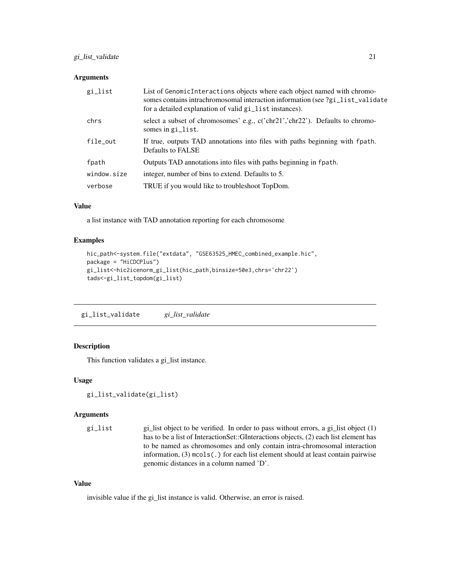#### <span id="page-20-0"></span>Arguments

| gi_list     | List of GenomicInteractions objects where each object named with chromo-<br>somes contains intrachromosomal interaction information (see ?gi_list_validate<br>for a detailed explanation of valid gi_list instances). |
|-------------|-----------------------------------------------------------------------------------------------------------------------------------------------------------------------------------------------------------------------|
| chrs        | select a subset of chromosomes' e.g., $c('chr21','chr22')$ . Defaults to chromo-<br>somes in gi_list.                                                                                                                 |
| file_out    | If true, outputs TAD annotations into files with paths beginning with fpath.<br>Defaults to FALSE                                                                                                                     |
| fpath       | Outputs TAD annotations into files with paths beginning in fpath.                                                                                                                                                     |
| window.size | integer, number of bins to extend. Defaults to 5.                                                                                                                                                                     |
| verbose     | TRUE if you would like to trouble shoot TopDom.                                                                                                                                                                       |

#### Value

a list instance with TAD annotation reporting for each chromosome

#### Examples

```
hic_path<-system.file("extdata", "GSE63525_HMEC_combined_example.hic",
package = "HiCDCPlus")
gi_list<-hic2icenorm_gi_list(hic_path,binsize=50e3,chrs='chr22')
tads<-gi_list_topdom(gi_list)
```
gi\_list\_validate *gi\_list\_validate*

#### Description

This function validates a gi\_list instance.

#### Usage

```
gi_list_validate(gi_list)
```
#### Arguments

gi\_list gi\_list object to be verified. In order to pass without errors, a gi\_list object (1) has to be a list of InteractionSet::GInteractions objects, (2) each list element has to be named as chromosomes and only contain intra-chromosomal interaction information, (3) mcols(.) for each list element should at least contain pairwise genomic distances in a column named 'D'.

#### Value

invisible value if the gi\_list instance is valid. Otherwise, an error is raised.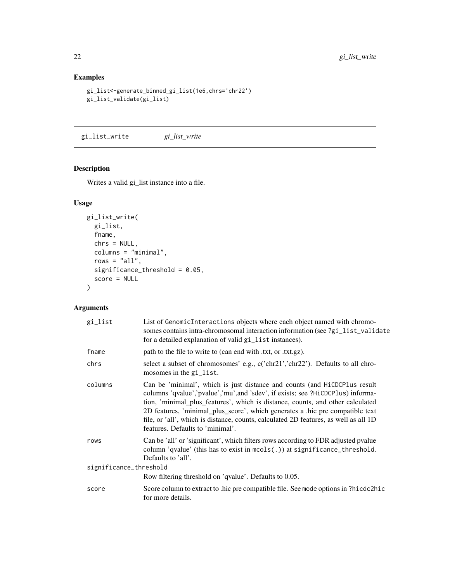#### <span id="page-21-0"></span>Examples

```
gi_list<-generate_binned_gi_list(1e6,chrs='chr22')
gi_list_validate(gi_list)
```
gi\_list\_write *gi\_list\_write*

#### Description

Writes a valid gi\_list instance into a file.

#### Usage

```
gi_list_write(
 gi_list,
 fname,
 chrs = NULL,
  columns = "minimal",
  rows = "all",significance_threshold = 0.05,
  score = NULL
\mathcal{L}
```

| gi_list                | List of GenomicInteractions objects where each object named with chromo-<br>somes contains intra-chromosomal interaction information (see ?gi_list_validate<br>for a detailed explanation of valid gi_list instances).                                                                                                                                                                                                                                     |  |
|------------------------|------------------------------------------------------------------------------------------------------------------------------------------------------------------------------------------------------------------------------------------------------------------------------------------------------------------------------------------------------------------------------------------------------------------------------------------------------------|--|
| fname                  | path to the file to write to (can end with .txt, or .txt.gz).                                                                                                                                                                                                                                                                                                                                                                                              |  |
| chrs                   | select a subset of chromosomes' e.g., c('chr21','chr22'). Defaults to all chro-<br>mosomes in the gi_list.                                                                                                                                                                                                                                                                                                                                                 |  |
| columns                | Can be 'minimal', which is just distance and counts (and HiCDCPlus result<br>columns 'qvalue','pvalue','mu',and 'sdev', if exists; see ?HiCDCPlus) informa-<br>tion, 'minimal_plus_features', which is distance, counts, and other calculated<br>2D features, 'minimal_plus_score', which generates a .hic pre compatible text<br>file, or 'all', which is distance, counts, calculated 2D features, as well as all 1D<br>features. Defaults to 'minimal'. |  |
| rows                   | Can be 'all' or 'significant', which filters rows according to FDR adjusted pvalue<br>column 'qvalue' (this has to exist in $mcols(.)$ ) at significance_threshold.<br>Defaults to 'all'.                                                                                                                                                                                                                                                                  |  |
| significance_threshold |                                                                                                                                                                                                                                                                                                                                                                                                                                                            |  |
|                        | Row filtering threshold on 'qvalue'. Defaults to 0.05.                                                                                                                                                                                                                                                                                                                                                                                                     |  |
| score                  | Score column to extract to hic pre compatible file. See mode options in ?hicdc2hic<br>for more details.                                                                                                                                                                                                                                                                                                                                                    |  |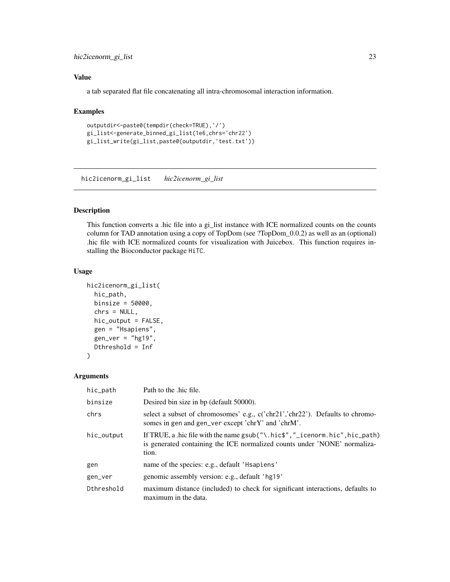#### <span id="page-22-0"></span>hic2icenorm\_gi\_list 23

#### Value

a tab separated flat file concatenating all intra-chromosomal interaction information.

#### Examples

```
outputdir<-paste0(tempdir(check=TRUE),'/')
gi_list<-generate_binned_gi_list(1e6,chrs='chr22')
gi_list_write(gi_list,paste0(outputdir,'test.txt'))
```
hic2icenorm\_gi\_list *hic2icenorm\_gi\_list*

#### Description

This function converts a .hic file into a gi\_list instance with ICE normalized counts on the counts column for TAD annotation using a copy of TopDom (see ?TopDom\_0.0.2) as well as an (optional) .hic file with ICE normalized counts for visualization with Juicebox. This function requires installing the Bioconductor package HiTC.

#### Usage

```
hic2icenorm_gi_list(
  hic_path,
 binsize = 50000,
  chrs = NULL,
  hic_output = FALSE,
  gen = "Hsapiens",
  gen\_ver = "hg19",Dthreshold = Inf
)
```

| hic_path   | Path to the .hic file.                                                                                                                                                 |
|------------|------------------------------------------------------------------------------------------------------------------------------------------------------------------------|
| binsize    | Desired bin size in bp (default 50000).                                                                                                                                |
| chrs       | select a subset of chromosomes' e.g., c('chr21','chr22'). Defaults to chromo-<br>somes in gen and gen_ver except 'chrY' and 'chrM'.                                    |
| hic_output | If TRUE, a hic file with the name $gsub("\\hic$ , $n'$ _icenorm. hic", hic_path)<br>is generated containing the ICE normalized counts under 'NONE' normaliza-<br>tion. |
| gen        | name of the species: e.g., default 'Hsapiens'                                                                                                                          |
| gen_ver    | genomic assembly version: e.g., default 'hg19'                                                                                                                         |
| Dthreshold | maximum distance (included) to check for significant interactions, defaults to<br>maximum in the data.                                                                 |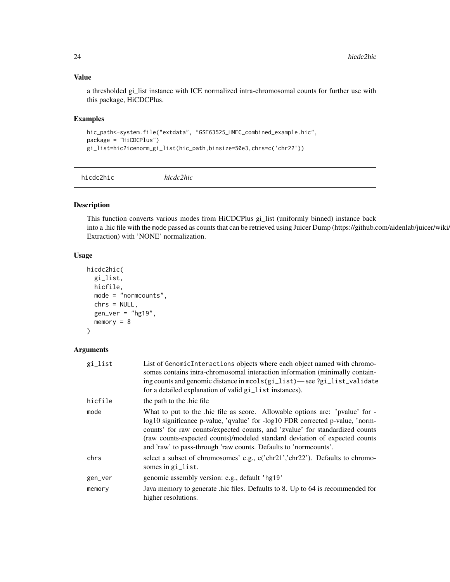#### Value

a thresholded gi\_list instance with ICE normalized intra-chromosomal counts for further use with this package, HiCDCPlus.

#### Examples

```
hic_path<-system.file("extdata", "GSE63525_HMEC_combined_example.hic",
package = "HiCDCPlus")
gi_list=hic2icenorm_gi_list(hic_path,binsize=50e3,chrs=c('chr22'))
```
hicdc2hic *hicdc2hic*

#### Description

This function converts various modes from HiCDCPlus gi\_list (uniformly binned) instance back into a .hic file with the mode passed as counts that can be retrieved using Juicer Dump (https://github.com/aidenlab/juicer/wiki/ Extraction) with 'NONE' normalization.

#### Usage

```
hicdc2hic(
  gi_list,
 hicfile,
 mode = "normcounts",
  chrs = NULL,
  gen\_ver = "hg19",memory = 8)
```

| gi_list | List of Genomic Interactions objects where each object named with chromo-<br>somes contains intra-chromosomal interaction information (minimally contain-<br>ing counts and genomic distance in mools (gi_list)—see ?gi_list_validate                                                                                                                                                          |
|---------|------------------------------------------------------------------------------------------------------------------------------------------------------------------------------------------------------------------------------------------------------------------------------------------------------------------------------------------------------------------------------------------------|
|         | for a detailed explanation of valid gi_list instances).                                                                                                                                                                                                                                                                                                                                        |
| hicfile | the path to the .hic file                                                                                                                                                                                                                                                                                                                                                                      |
| mode    | What to put to the hic file as score. Allowable options are: 'pvalue' for -<br>log10 significance p-value, 'qvalue' for -log10 FDR corrected p-value, 'norm-<br>counts' for raw counts/expected counts, and 'zvalue' for standardized counts<br>(raw counts-expected counts)/modeled standard deviation of expected counts<br>and 'raw' to pass-through 'raw counts. Defaults to 'normcounts'. |
| chrs    | select a subset of chromosomes' e.g., c('chr21','chr22'). Defaults to chromo-<br>somes in gi_list.                                                                                                                                                                                                                                                                                             |
| gen_ver | genomic assembly version: e.g., default 'hg19'                                                                                                                                                                                                                                                                                                                                                 |
| memory  | Java memory to generate .hic files. Defaults to 8. Up to 64 is recommended for<br>higher resolutions.                                                                                                                                                                                                                                                                                          |

<span id="page-23-0"></span>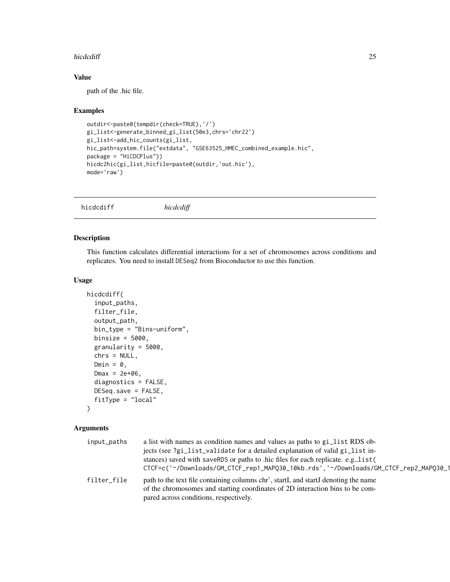#### <span id="page-24-0"></span>hicdcdiff 25

#### Value

path of the .hic file.

#### Examples

```
outdir<-paste0(tempdir(check=TRUE),'/')
gi_list<-generate_binned_gi_list(50e3,chrs='chr22')
gi_list<-add_hic_counts(gi_list,
hic_path=system.file("extdata", "GSE63525_HMEC_combined_example.hic",
package = "HiCDCPlus"))
hicdc2hic(gi_list,hicfile=paste0(outdir,'out.hic'),
mode='raw')
```
hicdcdiff *hicdcdiff*

#### Description

This function calculates differential interactions for a set of chromosomes across conditions and replicates. You need to install DESeq2 from Bioconductor to use this function.

#### Usage

```
hicdcdiff(
  input_paths,
  filter_file,
  output_path,
  bin_type = "Bins-uniform",
  binsize = 5000,
  granularity = 5000,
  chrs = NULL,
  Dmin = 0,
  Dmax = 2e+06,
  diagnostics = FALSE,
 DESeq.save = FALSE,
  fitType = "local"
)
```

| input_paths | a list with names as condition names and values as paths to gi_list RDS ob-          |  |
|-------------|--------------------------------------------------------------------------------------|--|
|             | jects (see ?gi_list_validate for a detailed explanation of valid gi_list in-         |  |
|             | stances) saved with saveRDS or paths to .hic files for each replicate. e.g., list (  |  |
|             | CTCF=c('~/Downloads/GM_CTCF_rep1_MAPQ30_10kb.rds','~/Downloads/GM_CTCF_rep2_MAPQ30_1 |  |
| filter_file | path to the text file containing columns chr', startI, and startJ denoting the name  |  |
|             | of the chromosomes and starting coordinates of 2D interaction bins to be com-        |  |
|             | pared across conditions, respectively.                                               |  |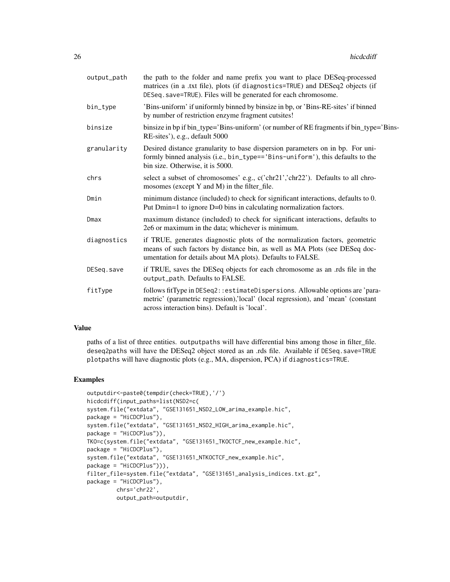| output_path | the path to the folder and name prefix you want to place DESeq-processed<br>matrices (in a .txt file), plots (if diagnostics=TRUE) and DESeq2 objects (if<br>DESeq. save=TRUE). Files will be generated for each chromosome. |
|-------------|------------------------------------------------------------------------------------------------------------------------------------------------------------------------------------------------------------------------------|
| bin_type    | 'Bins-uniform' if uniformly binned by binsize in bp, or 'Bins-RE-sites' if binned<br>by number of restriction enzyme fragment cutsites!                                                                                      |
| binsize     | binsize in bp if bin_type='Bins-uniform' (or number of RE fragments if bin_type='Bins-<br>RE-sites'), e.g., default 5000                                                                                                     |
| granularity | Desired distance granularity to base dispersion parameters on in bp. For uni-<br>formly binned analysis (i.e., bin_type=='Bins-uniform'), this defaults to the<br>bin size. Otherwise, it is 5000.                           |
| chrs        | select a subset of chromosomes' e.g., c('chr21','chr22'). Defaults to all chro-<br>mosomes (except Y and M) in the filter_file.                                                                                              |
| Dmin        | minimum distance (included) to check for significant interactions, defaults to 0.<br>Put Dmin=1 to ignore D=0 bins in calculating normalization factors.                                                                     |
| Dmax        | maximum distance (included) to check for significant interactions, defaults to<br>2e6 or maximum in the data; whichever is minimum.                                                                                          |
| diagnostics | if TRUE, generates diagnostic plots of the normalization factors, geometric<br>means of such factors by distance bin, as well as MA Plots (see DESeq doc-<br>umentation for details about MA plots). Defaults to FALSE.      |
| DESeg.save  | if TRUE, saves the DESeq objects for each chromosome as an .rds file in the<br>output_path. Defaults to FALSE.                                                                                                               |
| fitType     | follows fitType in DESeq2::estimateDispersions. Allowable options are 'para-<br>metric' (parametric regression),'local' (local regression), and 'mean' (constant<br>across interaction bins). Default is 'local'.            |

#### Value

paths of a list of three entities. outputpaths will have differential bins among those in filter\_file. deseq2paths will have the DESeq2 object stored as an .rds file. Available if DESeq.save=TRUE plotpaths will have diagnostic plots (e.g., MA, dispersion, PCA) if diagnostics=TRUE.

```
outputdir<-paste0(tempdir(check=TRUE),'/')
hicdcdiff(input_paths=list(NSD2=c(
system.file("extdata", "GSE131651_NSD2_LOW_arima_example.hic",
package = "HiCDCPlus"),
system.file("extdata", "GSE131651_NSD2_HIGH_arima_example.hic",
package = "HiCDCPlus")),
TKO=c(system.file("extdata", "GSE131651_TKOCTCF_new_example.hic",
package = "HiCDCPlus"),
system.file("extdata", "GSE131651_NTKOCTCF_new_example.hic",
package = "HiCDCPlus"))),
filter_file=system.file("extdata", "GSE131651_analysis_indices.txt.gz",
package = "HiCDCPlus"),
        chrs='chr22',
        output_path=outputdir,
```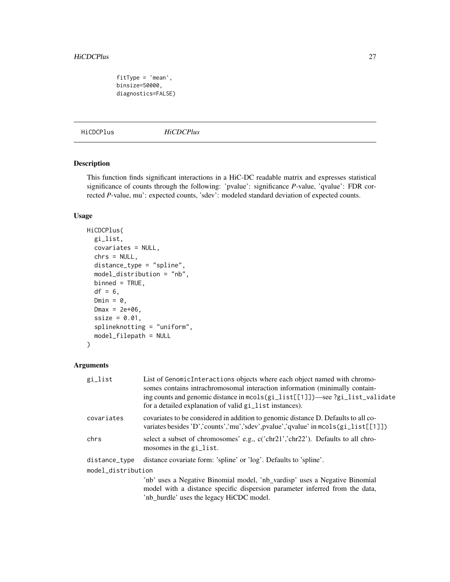```
fitType = 'mean',
binsize=50000,
diagnostics=FALSE)
```
HiCDCPlus *HiCDCPlus*

#### Description

This function finds significant interactions in a HiC-DC readable matrix and expresses statistical significance of counts through the following: 'pvalue': significance *P*-value, 'qvalue': FDR corrected *P*-value, mu': expected counts, 'sdev': modeled standard deviation of expected counts.

#### Usage

```
HiCDCPlus(
 gi_list,
  covariates = NULL,
  chrs = NULL,
  distance_type = "spline",
  model_distribution = "nb",
  binned = TRUE,df = 6,
  Dmin = 0,
 Dmax = 2e+06,
  ssize = 0.01,
  splineknotting = "uniform",
  model_filepath = NULL
\mathcal{L}
```

| gi_list            | List of GenomicInteractions objects where each object named with chromo-<br>somes contains intrachromosomal interaction information (minimally contain-<br>ing counts and genomic distance in mcols(gi_list[[1]])—see ?gi_list_validate<br>for a detailed explanation of valid gi_list instances). |
|--------------------|----------------------------------------------------------------------------------------------------------------------------------------------------------------------------------------------------------------------------------------------------------------------------------------------------|
| covariates         | covariates to be considered in addition to genomic distance D. Defaults to all co-<br>variates besides 'D','counts','mu','sdev',pvalue','qvalue' in mcols(gi_list[[1]])                                                                                                                            |
| chrs               | select a subset of chromosomes' e.g., c('chr21','chr22'). Defaults to all chro-<br>mosomes in the gi_list.                                                                                                                                                                                         |
| distance_type      | distance covariate form: 'spline' or 'log'. Defaults to 'spline'.                                                                                                                                                                                                                                  |
| model_distribution |                                                                                                                                                                                                                                                                                                    |
|                    | 'nb' uses a Negative Binomial model, 'nb_vardisp' uses a Negative Binomial<br>model with a distance specific dispersion parameter inferred from the data,<br>'nb_hurdle' uses the legacy HiCDC model.                                                                                              |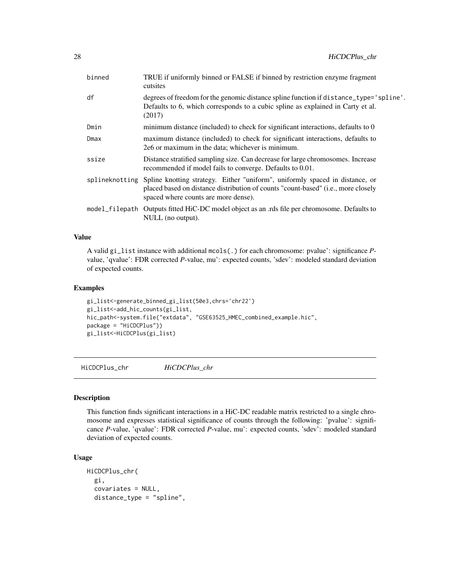<span id="page-27-0"></span>

| binned | TRUE if uniformly binned or FALSE if binned by restriction enzyme fragment<br>cutsites                                                                                                                                            |
|--------|-----------------------------------------------------------------------------------------------------------------------------------------------------------------------------------------------------------------------------------|
| df     | degrees of freedom for the genomic distance spline function if distance_type='spline'.<br>Defaults to 6, which corresponds to a cubic spline as explained in Carty et al.<br>(2017)                                               |
| Dmin   | minimum distance (included) to check for significant interactions, defaults to 0                                                                                                                                                  |
| Dmax   | maximum distance (included) to check for significant interactions, defaults to<br>2e6 or maximum in the data; whichever is minimum.                                                                                               |
| ssize  | Distance stratified sampling size. Can decrease for large chromosomes. Increase<br>recommended if model fails to converge. Defaults to 0.01.                                                                                      |
|        | splineknotting Spline knotting strategy. Either "uniform", uniformly spaced in distance, or<br>placed based on distance distribution of counts "count-based" ( <i>i.e.</i> , more closely<br>spaced where counts are more dense). |
|        | model_filepath Outputs fitted HiC-DC model object as an .rds file per chromosome. Defaults to<br>NULL (no output).                                                                                                                |

#### Value

A valid gi\_list instance with additional mcols(.) for each chromosome: pvalue': significance *P*value, 'qvalue': FDR corrected *P*-value, mu': expected counts, 'sdev': modeled standard deviation of expected counts.

#### Examples

```
gi_list<-generate_binned_gi_list(50e3,chrs='chr22')
gi_list<-add_hic_counts(gi_list,
hic_path<-system.file("extdata", "GSE63525_HMEC_combined_example.hic",
package = "HiCDCPlus"))
gi_list<-HiCDCPlus(gi_list)
```
HiCDCPlus\_chr *HiCDCPlus\_chr*

#### Description

This function finds significant interactions in a HiC-DC readable matrix restricted to a single chromosome and expresses statistical significance of counts through the following: 'pvalue': significance *P*-value, 'qvalue': FDR corrected *P*-value, mu': expected counts, 'sdev': modeled standard deviation of expected counts.

#### Usage

```
HiCDCPlus_chr(
 gi,
  covariates = NULL,
  distance_type = "spline",
```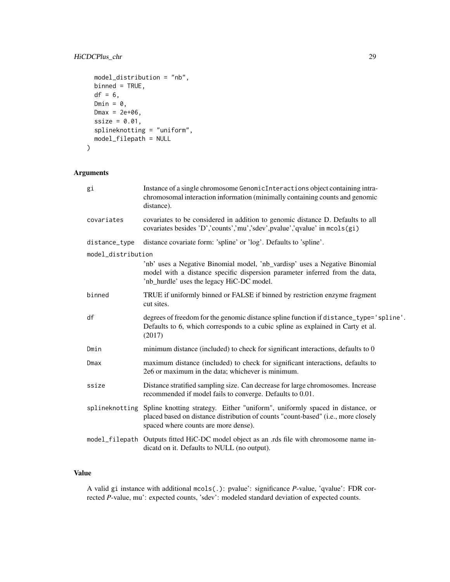#### HiCDCPlus\_chr 29

```
model_distribution = "nb",
binned = TRUE,df = 6,
Dmin = 0,
Dmax = 2e+06,
size = 0.01,splineknotting = "uniform",
model_filepath = NULL
```
#### Arguments

)

| gi                 | Instance of a single chromosome GenomicInteractions object containing intra-<br>chromosomal interaction information (minimally containing counts and genomic<br>distance).                                               |
|--------------------|--------------------------------------------------------------------------------------------------------------------------------------------------------------------------------------------------------------------------|
| covariates         | covariates to be considered in addition to genomic distance D. Defaults to all<br>covariates besides 'D','counts','mu','sdev',pvalue','qvalue' in mcols(gi)                                                              |
| distance_type      | distance covariate form: 'spline' or 'log'. Defaults to 'spline'.                                                                                                                                                        |
| model_distribution |                                                                                                                                                                                                                          |
|                    | 'nb' uses a Negative Binomial model, 'nb_vardisp' uses a Negative Binomial<br>model with a distance specific dispersion parameter inferred from the data,<br>'nb_hurdle' uses the legacy HiC-DC model.                   |
| binned             | TRUE if uniformly binned or FALSE if binned by restriction enzyme fragment<br>cut sites.                                                                                                                                 |
| df                 | degrees of freedom for the genomic distance spline function if distance_type='spline'.<br>Defaults to 6, which corresponds to a cubic spline as explained in Carty et al.<br>(2017)                                      |
| Dmin               | minimum distance (included) to check for significant interactions, defaults to 0                                                                                                                                         |
| Dmax               | maximum distance (included) to check for significant interactions, defaults to<br>2e6 or maximum in the data; whichever is minimum.                                                                                      |
| ssize              | Distance stratified sampling size. Can decrease for large chromosomes. Increase<br>recommended if model fails to converge. Defaults to 0.01.                                                                             |
|                    | splineknotting Spline knotting strategy. Either "uniform", uniformly spaced in distance, or<br>placed based on distance distribution of counts "count-based" (i.e., more closely<br>spaced where counts are more dense). |
|                    | model_filepath Outputs fitted HiC-DC model object as an .rds file with chromosome name in-<br>dicatd on it. Defaults to NULL (no output).                                                                                |

#### Value

A valid gi instance with additional mcols(.): pvalue': significance *P*-value, 'qvalue': FDR corrected *P*-value, mu': expected counts, 'sdev': modeled standard deviation of expected counts.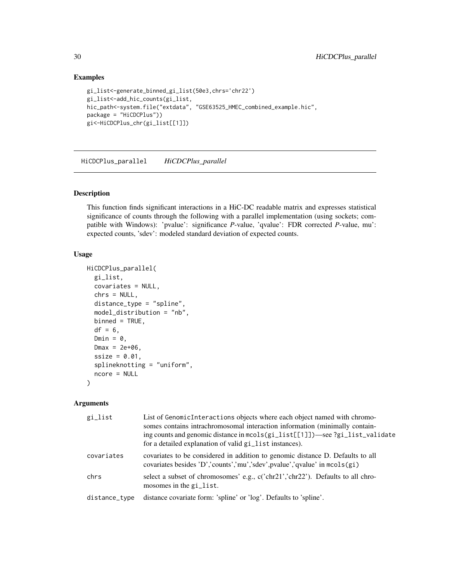#### Examples

```
gi_list<-generate_binned_gi_list(50e3,chrs='chr22')
gi_list<-add_hic_counts(gi_list,
hic_path<-system.file("extdata", "GSE63525_HMEC_combined_example.hic",
package = "HiCDCPlus"))
gi<-HiCDCPlus_chr(gi_list[[1]])
```
HiCDCPlus\_parallel *HiCDCPlus\_parallel*

#### Description

This function finds significant interactions in a HiC-DC readable matrix and expresses statistical significance of counts through the following with a parallel implementation (using sockets; compatible with Windows): 'pvalue': significance *P*-value, 'qvalue': FDR corrected *P*-value, mu': expected counts, 'sdev': modeled standard deviation of expected counts.

#### Usage

```
HiCDCPlus_parallel(
  gi_list,
 covariates = NULL,
  chrs = NULL,
  distance_type = "spline",
  model_distribution = "nb",
 binned = TRUE,df = 6,
  Dmin = \theta,
  Dmax = 2e+06,
  ssize = 0.01,
  splineknotting = "uniform",
  ncore = NULL
\lambda
```

| gi_list       | List of GenomicInteractions objects where each object named with chromo-<br>somes contains intrachromosomal interaction information (minimally contain-<br>ing counts and genomic distance in $mcols(gi_list[1])$ —see ?gi_list_validate<br>for a detailed explanation of valid gi_list instances). |
|---------------|-----------------------------------------------------------------------------------------------------------------------------------------------------------------------------------------------------------------------------------------------------------------------------------------------------|
| covariates    | covariates to be considered in addition to genomic distance D. Defaults to all<br>covariates besides 'D','counts','mu','sdev',pvalue','qvalue' in mcols(gi)                                                                                                                                         |
| chrs          | select a subset of chromosomes' e.g., c('chr21','chr22'). Defaults to all chro-<br>mosomes in the $\pi$ -list.                                                                                                                                                                                      |
| distance_type | distance covariate form: 'spline' or 'log'. Defaults to 'spline'.                                                                                                                                                                                                                                   |

<span id="page-29-0"></span>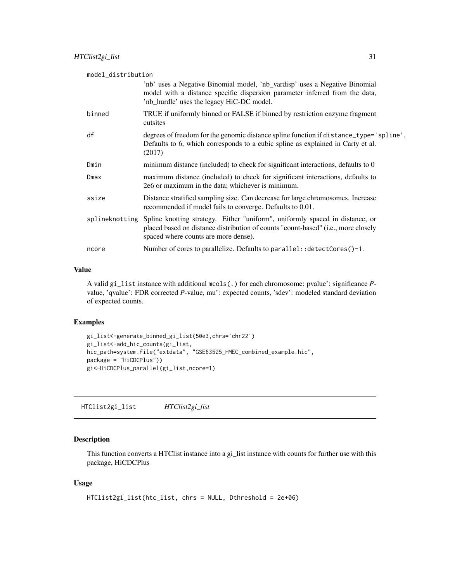<span id="page-30-0"></span>

| model_distribution |                                                                                                                                                                                                                    |  |
|--------------------|--------------------------------------------------------------------------------------------------------------------------------------------------------------------------------------------------------------------|--|
|                    | 'nb' uses a Negative Binomial model, 'nb_vardisp' uses a Negative Binomial<br>model with a distance specific dispersion parameter inferred from the data,<br>'nb_hurdle' uses the legacy HiC-DC model.             |  |
| binned             | TRUE if uniformly binned or FALSE if binned by restriction enzyme fragment<br>cutsites                                                                                                                             |  |
| df                 | degrees of freedom for the genomic distance spline function if distance_type='spline'.<br>Defaults to 6, which corresponds to a cubic spline as explained in Carty et al.<br>(2017)                                |  |
| Dmin               | minimum distance (included) to check for significant interactions, defaults to 0                                                                                                                                   |  |
| Dmax               | maximum distance (included) to check for significant interactions, defaults to<br>2e6 or maximum in the data; whichever is minimum.                                                                                |  |
| ssize              | Distance stratified sampling size. Can decrease for large chromosomes. Increase<br>recommended if model fails to converge. Defaults to 0.01.                                                                       |  |
| splineknotting     | Spline knotting strategy. Either "uniform", uniformly spaced in distance, or<br>placed based on distance distribution of counts "count-based" ( <i>i.e.</i> , more closely<br>spaced where counts are more dense). |  |
| ncore              | Number of cores to parallelize. Defaults to parallel: : $d$ etectCores $()$ -1.                                                                                                                                    |  |

#### Value

A valid gi\_list instance with additional mcols(.) for each chromosome: pvalue': significance *P*value, 'qvalue': FDR corrected *P*-value, mu': expected counts, 'sdev': modeled standard deviation of expected counts.

#### Examples

```
gi_list<-generate_binned_gi_list(50e3,chrs='chr22')
gi_list<-add_hic_counts(gi_list,
hic_path=system.file("extdata", "GSE63525_HMEC_combined_example.hic",
package = "HiCDCPlus"))
gi<-HiCDCPlus_parallel(gi_list,ncore=1)
```
HTClist2gi\_list *HTClist2gi\_list*

#### Description

This function converts a HTClist instance into a gi\_list instance with counts for further use with this package, HiCDCPlus

#### Usage

```
HTClist2gi_list(htc_list, chrs = NULL, Dthreshold = 2e+06)
```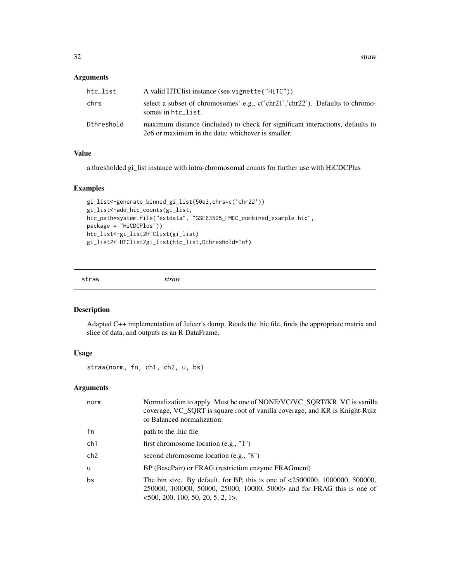#### <span id="page-31-0"></span>Arguments

| htc_list   | A valid HTClist instance (see vignette("HiTC"))                                                                                     |
|------------|-------------------------------------------------------------------------------------------------------------------------------------|
| chrs       | select a subset of chromosomes' e.g., $c('chr21$ ', $chr22$ '). Defaults to chromo-<br>somes in htc list.                           |
| Dthreshold | maximum distance (included) to check for significant interactions, defaults to<br>2e6 or maximum in the data: whichever is smaller. |

#### Value

a thresholded gi\_list instance with intra-chromosomal counts for further use with HiCDCPlus

#### Examples

```
gi_list<-generate_binned_gi_list(50e3,chrs=c('chr22'))
gi_list<-add_hic_counts(gi_list,
hic_path=system.file("extdata", "GSE63525_HMEC_combined_example.hic",
package = "HiCDCPlus"))
htc_list<-gi_list2HTClist(gi_list)
gi_list2<-HTClist2gi_list(htc_list,Dthreshold=Inf)
```
straw *straw*

#### Description

Adapted C++ implementation of Juicer's dump. Reads the .hic file, finds the appropriate matrix and slice of data, and outputs as an R DataFrame.

#### Usage

straw(norm, fn, ch1, ch2, u, bs)

| norm            | Normalization to apply. Must be one of NONE/VC/VC_SQRT/KR. VC is vanilla<br>coverage, VC_SQRT is square root of vanilla coverage, and KR is Knight-Ruiz<br>or Balanced normalization.          |
|-----------------|------------------------------------------------------------------------------------------------------------------------------------------------------------------------------------------------|
| fn              | path to the hic file                                                                                                                                                                           |
| ch1             | first chromosome location $(e.g., "1")$                                                                                                                                                        |
| ch <sub>2</sub> | second chromosome location (e.g., "8")                                                                                                                                                         |
| u               | BP (BasePair) or FRAG (restriction enzyme FRAGment)                                                                                                                                            |
| bs              | The bin size. By default, for BP, this is one of $\leq 2500000$ , 1000000, 500000,<br>250000, 100000, 50000, 25000, 10000, 5000> and for FRAG this is one of<br>500, 200, 100, 50, 20, 5, 2, 1 |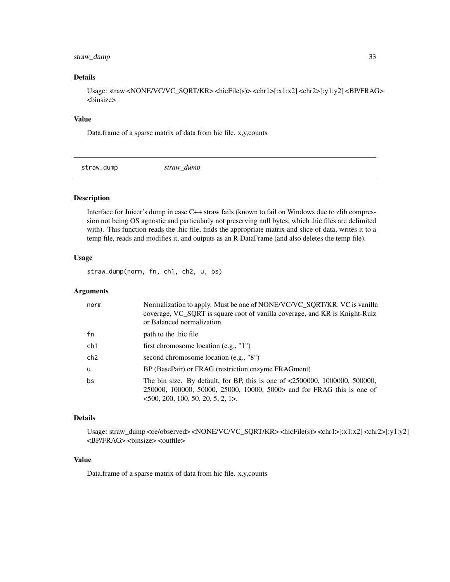#### <span id="page-32-0"></span>straw\_dump 33

#### Details

Usage: straw <NONE/VC/VC\_SQRT/KR> <hicFile(s)> <chr1>[:x1:x2] <chr2>[:y1:y2] <BP/FRAG> <binsize>

#### Value

Data.frame of a sparse matrix of data from hic file. x,y,counts

straw\_dump *straw\_dump*

Description

Interface for Juicer's dump in case C++ straw fails (known to fail on Windows due to zlib compression not being OS agnostic and particularly not preserving null bytes, which .hic files are delimited with). This function reads the .hic file, finds the appropriate matrix and slice of data, writes it to a temp file, reads and modifies it, and outputs as an R DataFrame (and also deletes the temp file).

#### Usage

straw\_dump(norm, fn, ch1, ch2, u, bs)

#### Arguments

| norm            | Normalization to apply. Must be one of NONE/VC/VC_SQRT/KR. VC is vanilla<br>coverage, VC_SQRT is square root of vanilla coverage, and KR is Knight-Ruiz<br>or Balanced normalization.          |
|-----------------|------------------------------------------------------------------------------------------------------------------------------------------------------------------------------------------------|
| fn              | path to the hic file                                                                                                                                                                           |
| ch1             | first chromosome location $(e.g., "1")$                                                                                                                                                        |
| ch <sub>2</sub> | second chromosome location (e.g., "8")                                                                                                                                                         |
| $\mathbf{u}$    | BP (BasePair) or FRAG (restriction enzyme FRAGment)                                                                                                                                            |
| bs              | The bin size. By default, for BP, this is one of $\leq 2500000$ , 1000000, 500000,<br>250000, 100000, 50000, 25000, 10000, 5000> and for FRAG this is one of<br>500, 200, 100, 50, 20, 5, 2, 1 |

#### Details

Usage: straw\_dump <oe/observed> <NONE/VC/VC\_SQRT/KR> <hicFile(s)> <chr1>[:x1:x2] <chr2>[:y1:y2] <BP/FRAG> <binsize> <outfile>

#### Value

Data.frame of a sparse matrix of data from hic file. x,y,counts